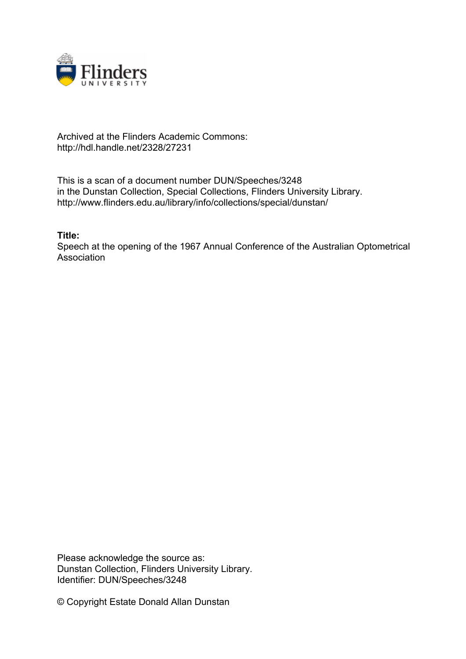

## Archived at the Flinders Academic Commons: http://hdl.handle.net/2328/27231

This is a scan of a document number DUN/Speeches/3248 in the Dunstan Collection, Special Collections, Flinders University Library. http://www.flinders.edu.au/library/info/collections/special/dunstan/

**Title:**

Speech at the opening of the 1967 Annual Conference of the Australian Optometrical **Association** 

Please acknowledge the source as: Dunstan Collection, Flinders University Library. Identifier: DUN/Speeches/3248

© Copyright Estate Donald Allan Dunstan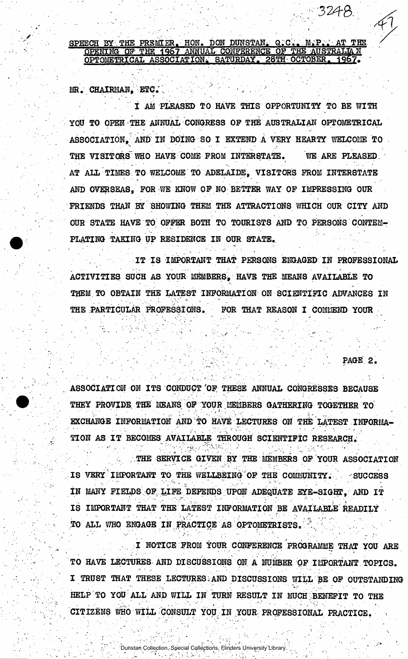. 1 NOTICE FROM YOUR CONFERENCE PROGRAMME THAT YOU ARE TO HAVE LECTURES AND DISCUSSIONS ON. A NUMBER OF IMPORTANT TOPICS. I TRUST THAT THESE LECTURES;AND DISCUSSIONS WILL BE OF OUTSTANDING HELP TO YOU ALL AND WILL IN TURN RESULT IN MUCH BENEFIT TO THE CITIZENS WHO WILL CONSULT YOU- IN YOUR PROFESSIONAL PRACTICE.

Dunstan Collection, Special Collections, Flinders University Library.

. THE SERVICE GIVEN BY THE MEMBERS OF YOUR ASSOCIATION IS VERY IMPORTANT TO THE WELLBEING OF THE COMMUNITY. SUCCESS IN MANY FIELDS OF LIFE DEPENDS UPON ADEQUATE EYE-SIGHT, AND IT IS IMPORTANT THAT THE LATEST INFORMATION BE AVAILABLE READILY TO ALL WHO ENGAGE IN PRACTICE AS OPTOMETRISTS.

ASSOCIATION ON ITS CONDUCT 'OF THESE ANNUAL CONGRESSES BECAUSE THEY PROVIDE THE MEANS OF YOUR MEMBERS GATHERING TOGETHER TO EXCHANGE INFORMATION AND TO HAVE LECTURES ON THE LATEST INFORMA-TION AS IT BECOMES AVAILABLE THROUGH SCIENTIFIC RESEARCH.

- . , PAGE 2 .

THEM TO OBTAIN THE LATEST INFORMATION ON SCIENTIFIC ADVANCES IN THE PARTICULAR PROFESSIONS. FOR THAT REASON I COMMEND YOUR

FRIENDS THAN BY SHOWING THEM THE ATTRACTIONS WHICH OUR CITY AND OUR STATE HAVE TO OFFER BOTH TO TOURISTS AND TO PERSONS CONTEM-PLATING TAKING UP RESIDENCE IN OUR STATE. IT IS IMPORTANT THAT PERSONS ENGAGED IN PROFESSIONAL ACTIVITIES SUCH AS YOUR MEMBERS, HAVE THE MEANS AVAILABLE TO

I AM PLEASED TO HAVE THIS OPPORTUNITY TO BE WITH YOU TO OPEN THE ANNUAL CONGRESS OF THE AUSTRALIAN OPTOMETRICAL ASSOCIATION. AND IN DOING SO I EXTEND A VERY HEARTY WELCOME TO THE VISITORS WHO HAVE COME PROM INTERSTATE. WE ARE PLEASED AT ALL TIMES TO WELCOME TO ADELAIDE, VISITORS FROM INTERSTATE AND OVERSEAS, FOR WE KNOW OF NO BETTER WAY OF IMPRESSING OUR

SPEECH BY THE PREMIER. HON. DON DUNSTAN, Q.C., M.P., AT THE OPENING OF THE 1967 ANNUAL CONFERENCE OF THE AUSTRALIAN 28TH OCTOBER OPTOMETRICAL ASSOCIATION. **SATURDAY** 

UR. CHAIRMAN. ETC.

•324-8.